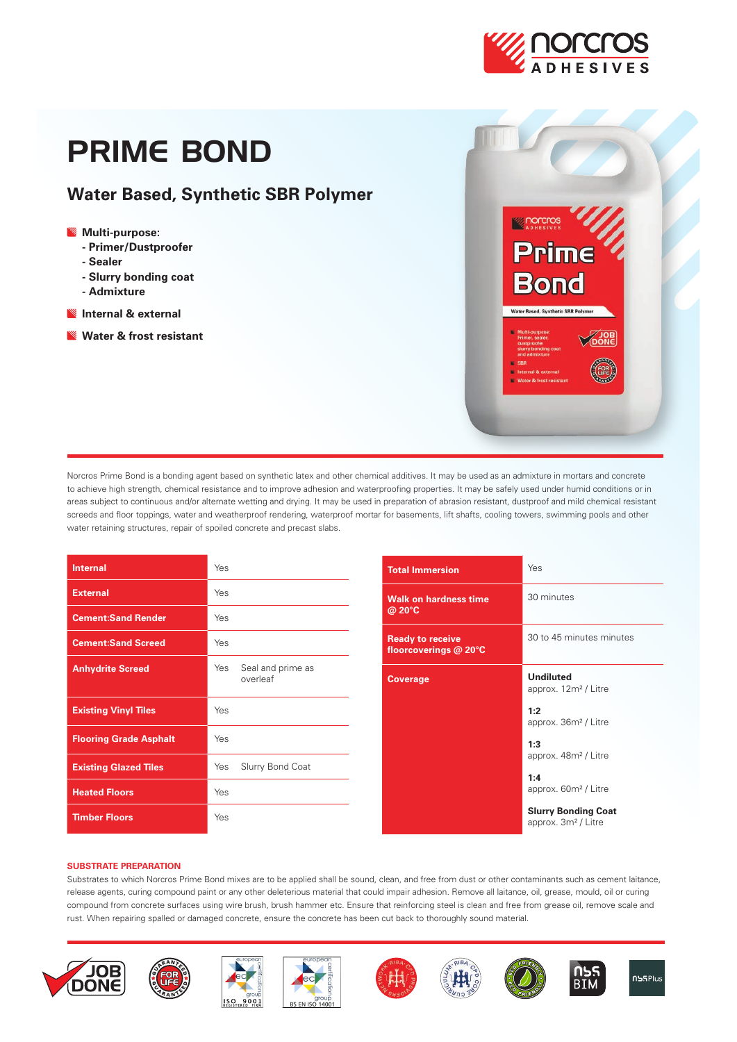

# PRIME BOND

## **Water Based, Synthetic SBR Polymer**

### **Multi-purpose:**

- **Primer/Dustproofer**
- **Sealer**
- **Slurry bonding coat**
- **Admixture**
- **Internal & external**
- **Water & frost resistant**



Norcros Prime Bond is a bonding agent based on synthetic latex and other chemical additives. It may be used as an admixture in mortars and concrete to achieve high strength, chemical resistance and to improve adhesion and waterproofing properties. It may be safely used under humid conditions or in areas subject to continuous and/or alternate wetting and drying. It may be used in preparation of abrasion resistant, dustproof and mild chemical resistant screeds and floor toppings, water and weatherproof rendering, waterproof mortar for basements, lift shafts, cooling towers, swimming pools and other water retaining structures, repair of spoiled concrete and precast slabs.

| <b>Internal</b>               | Yes                                  |
|-------------------------------|--------------------------------------|
| <b>External</b>               | Yes                                  |
| <b>Cement:Sand Render</b>     | Yes                                  |
| <b>Cement:Sand Screed</b>     | Yes                                  |
| <b>Anhydrite Screed</b>       | Seal and prime as<br>Yes<br>overleaf |
| <b>Existing Vinyl Tiles</b>   | Yes                                  |
| <b>Flooring Grade Asphalt</b> | Yes                                  |
| <b>Existing Glazed Tiles</b>  | Slurry Bond Coat<br>Yes              |
| <b>Heated Floors</b>          | Yes                                  |
| <b>Timber Floors</b>          | Yes                                  |

| <b>Total Immersion</b>                           | Yes                                                           |
|--------------------------------------------------|---------------------------------------------------------------|
| <b>Walk on hardness time</b><br>@ 20°C           | 30 minutes                                                    |
| <b>Ready to receive</b><br>floorcoverings @ 20°C | 30 to 45 minutes minutes                                      |
| <b>Coverage</b>                                  | <b>Undiluted</b><br>approx. 12m <sup>2</sup> / Litre          |
|                                                  | 1:2<br>approx. 36m <sup>2</sup> / Litre                       |
|                                                  | 1:3<br>approx. 48m <sup>2</sup> / Litre                       |
|                                                  | 1:4<br>approx. 60m <sup>2</sup> / Litre                       |
|                                                  | <b>Slurry Bonding Coat</b><br>approx. 3m <sup>2</sup> / Litre |

#### **SUBSTRATE PREPARATION**

Substrates to which Norcros Prime Bond mixes are to be applied shall be sound, clean, and free from dust or other contaminants such as cement laitance, release agents, curing compound paint or any other deleterious material that could impair adhesion. Remove all laitance, oil, grease, mould, oil or curing compound from concrete surfaces using wire brush, brush hammer etc. Ensure that reinforcing steel is clean and free from grease oil, remove scale and rust. When repairing spalled or damaged concrete, ensure the concrete has been cut back to thoroughly sound material.